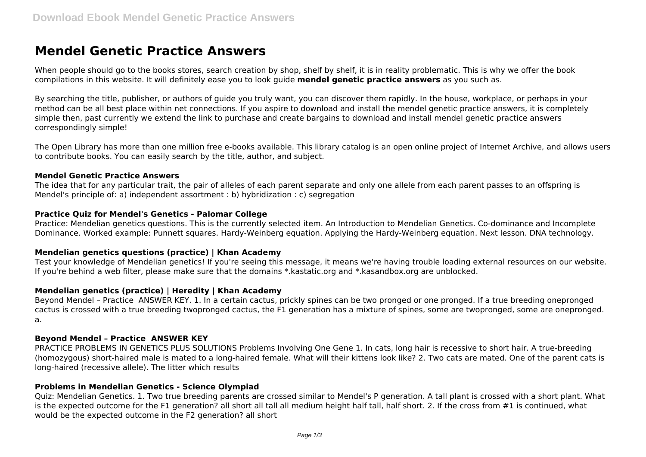# **Mendel Genetic Practice Answers**

When people should go to the books stores, search creation by shop, shelf by shelf, it is in reality problematic. This is why we offer the book compilations in this website. It will definitely ease you to look guide **mendel genetic practice answers** as you such as.

By searching the title, publisher, or authors of guide you truly want, you can discover them rapidly. In the house, workplace, or perhaps in your method can be all best place within net connections. If you aspire to download and install the mendel genetic practice answers, it is completely simple then, past currently we extend the link to purchase and create bargains to download and install mendel genetic practice answers correspondingly simple!

The Open Library has more than one million free e-books available. This library catalog is an open online project of Internet Archive, and allows users to contribute books. You can easily search by the title, author, and subject.

#### **Mendel Genetic Practice Answers**

The idea that for any particular trait, the pair of alleles of each parent separate and only one allele from each parent passes to an offspring is Mendel's principle of: a) independent assortment : b) hybridization : c) segregation

## **Practice Quiz for Mendel's Genetics - Palomar College**

Practice: Mendelian genetics questions. This is the currently selected item. An Introduction to Mendelian Genetics. Co-dominance and Incomplete Dominance. Worked example: Punnett squares. Hardy-Weinberg equation. Applying the Hardy-Weinberg equation. Next lesson. DNA technology.

## **Mendelian genetics questions (practice) | Khan Academy**

Test your knowledge of Mendelian genetics! If you're seeing this message, it means we're having trouble loading external resources on our website. If you're behind a web filter, please make sure that the domains \*.kastatic.org and \*.kasandbox.org are unblocked.

## **Mendelian genetics (practice) | Heredity | Khan Academy**

Beyond Mendel – Practice ANSWER KEY. 1. In a certain cactus, prickly spines can be two pronged or one pronged. If a true breeding onepronged cactus is crossed with a true breeding twopronged cactus, the F1 generation has a mixture of spines, some are twopronged, some are onepronged. a.

## **Beyond Mendel – Practice ANSWER KEY**

PRACTICE PROBLEMS IN GENETICS PLUS SOLUTIONS Problems Involving One Gene 1. In cats, long hair is recessive to short hair. A true-breeding (homozygous) short-haired male is mated to a long-haired female. What will their kittens look like? 2. Two cats are mated. One of the parent cats is long-haired (recessive allele). The litter which results

#### **Problems in Mendelian Genetics - Science Olympiad**

Quiz: Mendelian Genetics. 1. Two true breeding parents are crossed similar to Mendel's P generation. A tall plant is crossed with a short plant. What is the expected outcome for the F1 generation? all short all tall all medium height half tall, half short. 2. If the cross from #1 is continued, what would be the expected outcome in the F2 generation? all short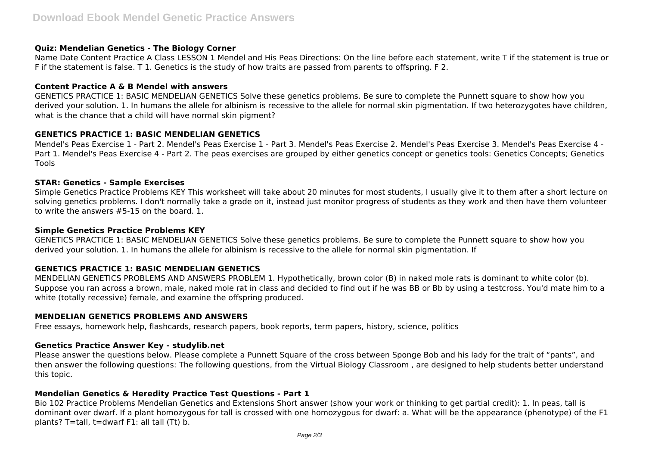## **Quiz: Mendelian Genetics - The Biology Corner**

Name Date Content Practice A Class LESSON 1 Mendel and His Peas Directions: On the line before each statement, write T if the statement is true or F if the statement is false. T 1. Genetics is the study of how traits are passed from parents to offspring. F 2.

#### **Content Practice A & B Mendel with answers**

GENETICS PRACTICE 1: BASIC MENDELIAN GENETICS Solve these genetics problems. Be sure to complete the Punnett square to show how you derived your solution. 1. In humans the allele for albinism is recessive to the allele for normal skin pigmentation. If two heterozygotes have children, what is the chance that a child will have normal skin pigment?

## **GENETICS PRACTICE 1: BASIC MENDELIAN GENETICS**

Mendel's Peas Exercise 1 - Part 2. Mendel's Peas Exercise 1 - Part 3. Mendel's Peas Exercise 2. Mendel's Peas Exercise 3. Mendel's Peas Exercise 4 - Part 1. Mendel's Peas Exercise 4 - Part 2. The peas exercises are grouped by either genetics concept or genetics tools: Genetics Concepts; Genetics Tools

## **STAR: Genetics - Sample Exercises**

Simple Genetics Practice Problems KEY This worksheet will take about 20 minutes for most students, I usually give it to them after a short lecture on solving genetics problems. I don't normally take a grade on it, instead just monitor progress of students as they work and then have them volunteer to write the answers #5-15 on the board. 1.

#### **Simple Genetics Practice Problems KEY**

GENETICS PRACTICE 1: BASIC MENDELIAN GENETICS Solve these genetics problems. Be sure to complete the Punnett square to show how you derived your solution. 1. In humans the allele for albinism is recessive to the allele for normal skin pigmentation. If

## **GENETICS PRACTICE 1: BASIC MENDELIAN GENETICS**

MENDELIAN GENETICS PROBLEMS AND ANSWERS PROBLEM 1. Hypothetically, brown color (B) in naked mole rats is dominant to white color (b). Suppose you ran across a brown, male, naked mole rat in class and decided to find out if he was BB or Bb by using a testcross. You'd mate him to a white (totally recessive) female, and examine the offspring produced.

## **MENDELIAN GENETICS PROBLEMS AND ANSWERS**

Free essays, homework help, flashcards, research papers, book reports, term papers, history, science, politics

## **Genetics Practice Answer Key - studylib.net**

Please answer the questions below. Please complete a Punnett Square of the cross between Sponge Bob and his lady for the trait of "pants", and then answer the following questions: The following questions, from the Virtual Biology Classroom , are designed to help students better understand this topic.

## **Mendelian Genetics & Heredity Practice Test Questions - Part 1**

Bio 102 Practice Problems Mendelian Genetics and Extensions Short answer (show your work or thinking to get partial credit): 1. In peas, tall is dominant over dwarf. If a plant homozygous for tall is crossed with one homozygous for dwarf: a. What will be the appearance (phenotype) of the F1 plants? T=tall, t=dwarf F1: all tall (Tt) b.